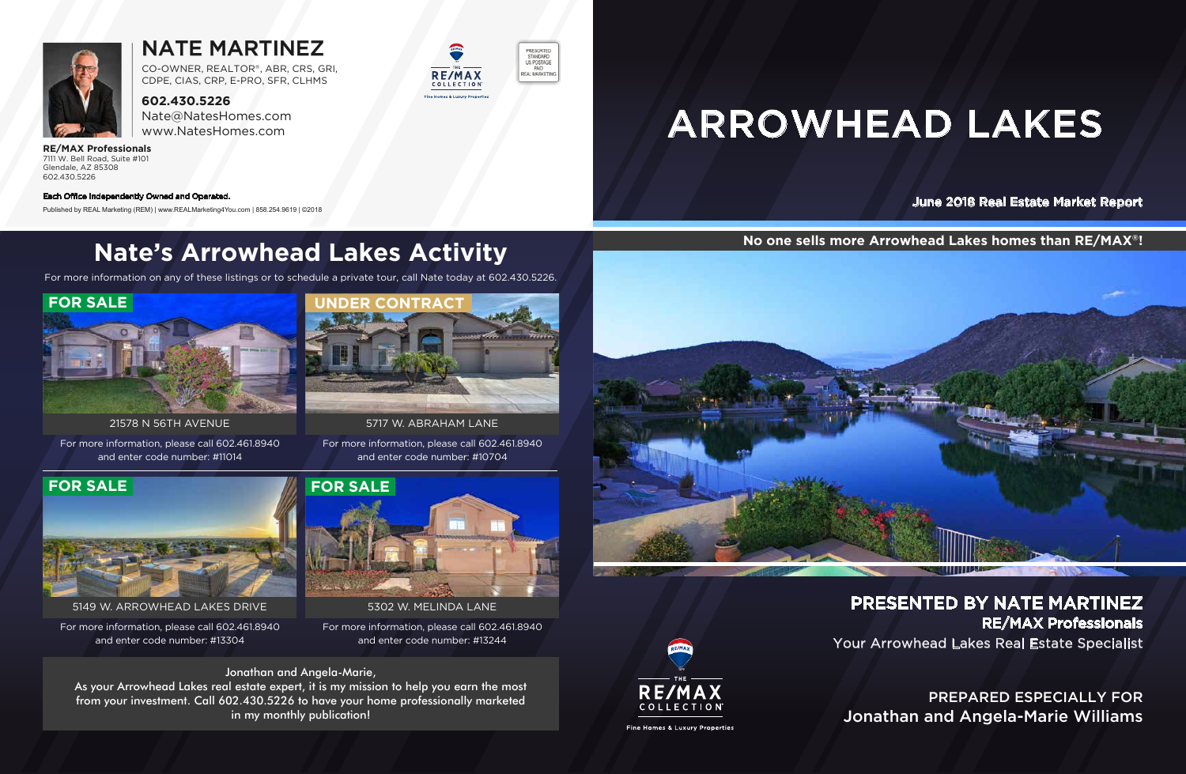Your Arrowhead Lakes Real Estate Specialist PRESENTED BY NATE MARTINEZ RE/MAX Professionals

June 2018 Real Estate Market Report

# ARROWHEAD LAKES





## NATE MARTINEZ

**602.430.5226** Nate@NatesHomes.com www.NatesHomes.com

**RE/MAX Professionals** 7111 W. Bell Road, Suite #101 Glendale, AZ 85308 602.430.5226

CO-OWNER, REALTOR®, ABR, CRS, GRI, CDPE, CIAS, CRP, E-PRO, SFR, CLHMS

**No one sells more Arrowhead Lakes homes than RE/MAX®!**

#### Each Office Independently Owned and Operated.

Published by REAL Marketing (REM) | www.REALMarketing4You.com | 858.254.9619 | ©2018

# **Nate's Arrowhead Lakes Activity**

For more information on any of these listings or to schedule a private tour, call Nate today at 602.430.5226.

PREPARED ESPECIALLY FOR Jonathan and Angela-Marie Williams

As your Arrowhead Lakes real estate expert, it is my mission to help you earn the most from your investment. Call 602.430.5226 to have your home professionally marketed in my monthly publication!



For more information, please call 602.461.8940 and enter code number: #13304

For more information, please call 602.461.8940 and enter code number: #11014



5149 W. ARROWHEAD LAKES DRIVE



For more information, please call 602.461.8940 and enter code number: #13244 5302 W. MELINDA LANE



21578 N 56TH AVENUE

For more information, please call 602.461.8940 and enter code number: #10704



**RE/MAX** 

COLLECTION

PRESORTED STANDARD<br>US POSTAGE PAID

REAL MARKETING

#### Jonathan and Angela-Marie,